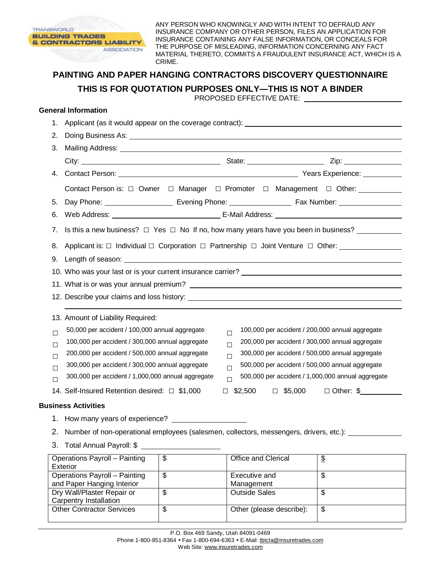

ANY PERSON WHO KNOWINGLY AND WITH INTENT TO DEFRAUD ANY INSURANCE COMPANY OR OTHER PERSON, FILES AN APPLICATION FOR INSURANCE CONTAINING ANY FALSE INFORMATION, OR CONCEALS FOR THE PURPOSE OF MISLEADING, INFORMATION CONCERNING ANY FACT MATERIAL THERETO, COMMITS A FRAUDULENT INSURANCE ACT, WHICH IS A CRIME.

## **PAINTING AND PAPER HANGING CONTRACTORS DISCOVERY QUESTIONNAIRE THIS IS FOR QUOTATION PURPOSES ONLY—THIS IS NOT A BINDER**

PROPOSED EFFECTIVE DATE:

## **General Information**

Dry Wall/Plaster Repair or Carpentry Installation

| 1.     | Applicant (as it would appear on the coverage contract): ________________________                                                                                                                                                                                                                                                                                                                                                                           |                                                                                                               |                                                             |                          |  |  |  |
|--------|-------------------------------------------------------------------------------------------------------------------------------------------------------------------------------------------------------------------------------------------------------------------------------------------------------------------------------------------------------------------------------------------------------------------------------------------------------------|---------------------------------------------------------------------------------------------------------------|-------------------------------------------------------------|--------------------------|--|--|--|
| 2.     |                                                                                                                                                                                                                                                                                                                                                                                                                                                             |                                                                                                               |                                                             |                          |  |  |  |
| 3.     | Mailing Address: National Address: National Address: National Address: National Address: National Address: National Address: National Address: National Address: National Address: National Address: National Address: Nationa                                                                                                                                                                                                                              |                                                                                                               |                                                             |                          |  |  |  |
|        |                                                                                                                                                                                                                                                                                                                                                                                                                                                             |                                                                                                               |                                                             |                          |  |  |  |
|        |                                                                                                                                                                                                                                                                                                                                                                                                                                                             |                                                                                                               |                                                             |                          |  |  |  |
|        | Contact Person is: □ Owner □ Manager □ Promoter □ Management □ Other: _________                                                                                                                                                                                                                                                                                                                                                                             |                                                                                                               |                                                             |                          |  |  |  |
| 5.     |                                                                                                                                                                                                                                                                                                                                                                                                                                                             | Day Phone: ___________________________ Evening Phone: ___________________________ Fax Number: _______________ |                                                             |                          |  |  |  |
| 6.     |                                                                                                                                                                                                                                                                                                                                                                                                                                                             |                                                                                                               |                                                             |                          |  |  |  |
| 7.     | Is this a new business? $\Box$ Yes $\Box$ No If no, how many years have you been in business?                                                                                                                                                                                                                                                                                                                                                               |                                                                                                               |                                                             |                          |  |  |  |
| 8.     | Applicant is: □ Individual □ Corporation □ Partnership □ Joint Venture □ Other: ___________________<br>10. Who was your last or is your current insurance carrier? _____________________                                                                                                                                                                                                                                                                    |                                                                                                               |                                                             |                          |  |  |  |
|        |                                                                                                                                                                                                                                                                                                                                                                                                                                                             |                                                                                                               |                                                             |                          |  |  |  |
|        |                                                                                                                                                                                                                                                                                                                                                                                                                                                             |                                                                                                               |                                                             |                          |  |  |  |
|        |                                                                                                                                                                                                                                                                                                                                                                                                                                                             |                                                                                                               |                                                             |                          |  |  |  |
|        |                                                                                                                                                                                                                                                                                                                                                                                                                                                             |                                                                                                               |                                                             |                          |  |  |  |
|        | 13. Amount of Liability Required:                                                                                                                                                                                                                                                                                                                                                                                                                           |                                                                                                               |                                                             |                          |  |  |  |
| $\Box$ | 50,000 per accident / 100,000 annual aggregate<br>100,000 per accident / 200,000 annual aggregate<br>$\Box$<br>100,000 per accident / 300,000 annual aggregate<br>200,000 per accident / 300,000 annual aggregate<br>$\Box$<br>200,000 per accident / 500,000 annual aggregate<br>300,000 per accident / 500,000 annual aggregate<br>$\Box$<br>300,000 per accident / 300,000 annual aggregate<br>500,000 per accident / 500,000 annual aggregate<br>$\Box$ |                                                                                                               |                                                             |                          |  |  |  |
| П      |                                                                                                                                                                                                                                                                                                                                                                                                                                                             |                                                                                                               |                                                             |                          |  |  |  |
| □      |                                                                                                                                                                                                                                                                                                                                                                                                                                                             |                                                                                                               |                                                             |                          |  |  |  |
| $\Box$ |                                                                                                                                                                                                                                                                                                                                                                                                                                                             |                                                                                                               |                                                             |                          |  |  |  |
| П      | 300,000 per accident / 1,000,000 annual aggregate                                                                                                                                                                                                                                                                                                                                                                                                           |                                                                                                               | 500,000 per accident / 1,000,000 annual aggregate<br>$\Box$ |                          |  |  |  |
|        | 14. Self-Insured Retention desired: □ \$1,000                                                                                                                                                                                                                                                                                                                                                                                                               |                                                                                                               | $\Box$ \$2,500 $\Box$ \$5,000 $\Box$ Other: \$              |                          |  |  |  |
|        | <b>Business Activities</b>                                                                                                                                                                                                                                                                                                                                                                                                                                  |                                                                                                               |                                                             |                          |  |  |  |
|        |                                                                                                                                                                                                                                                                                                                                                                                                                                                             |                                                                                                               |                                                             |                          |  |  |  |
|        |                                                                                                                                                                                                                                                                                                                                                                                                                                                             |                                                                                                               |                                                             |                          |  |  |  |
|        |                                                                                                                                                                                                                                                                                                                                                                                                                                                             |                                                                                                               |                                                             |                          |  |  |  |
|        | <b>Operations Payroll - Painting</b><br><b>Exterior</b>                                                                                                                                                                                                                                                                                                                                                                                                     | $\mathfrak{S}$                                                                                                | Office and Clerical                                         | $\mathfrak{D}$           |  |  |  |
|        | Operations Payroll - Painting<br>and Paper Hanging Interior                                                                                                                                                                                                                                                                                                                                                                                                 | $\overline{\mathcal{S}}$                                                                                      | Executive and<br>Management                                 | $\overline{\mathcal{S}}$ |  |  |  |

Other Contractor Services  $\frac{1}{3}$  Other (please describe):  $\frac{1}{3}$ 

\$ | Outside Sales | \$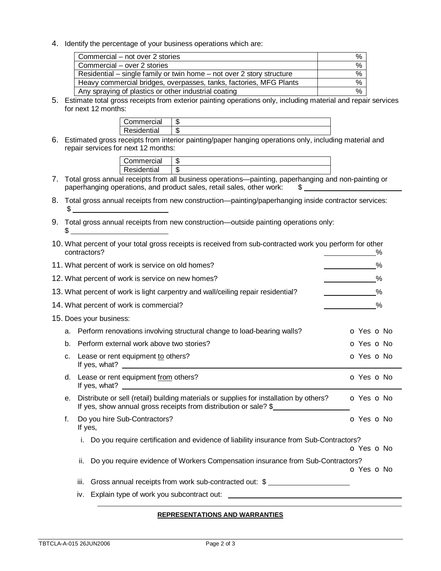4. Identify the percentage of your business operations which are:

| Commercial – not over 2 stories                                       | ℅ |
|-----------------------------------------------------------------------|---|
| Commercial – over 2 stories                                           | % |
| Residential – single family or twin home – not over 2 story structure | % |
| Heavy commercial bridges, overpasses, tanks, factories, MFG Plants    | % |
| Any spraying of plastics or other industrial coating                  | % |

5. Estimate total gross receipts from exterior painting operations only, including material and repair services for next 12 months:

| ommercial   | æ<br>Œ |
|-------------|--------|
| Residential | ٦٦.    |

6. Estimated gross receipts from interior painting/paper hanging operations only, including material and repair services for next 12 months:

| Commercial  | ٨D |  |     |  |
|-------------|----|--|-----|--|
| Residential | ۰D |  |     |  |
|             | .  |  | . . |  |

- 7. Total gross annual receipts from all business operations—painting, paperhanging and non-painting or paperhanging operations, and product sales, retail sales, other work: \$
- 8. Total gross annual receipts from new construction—painting/paperhanging inside contractor services:  $$^{\circ}$
- 9. Total gross annual receipts from new construction—outside painting operations only:  $\sim$

|                                                   |    | 10. What percent of your total gross receipts is received from sub-contracted work you perform for other<br>contractors?                                   | %              |  |
|---------------------------------------------------|----|------------------------------------------------------------------------------------------------------------------------------------------------------------|----------------|--|
| 11. What percent of work is service on old homes? |    |                                                                                                                                                            |                |  |
| 12. What percent of work is service on new homes? |    |                                                                                                                                                            |                |  |
|                                                   |    | 13. What percent of work is light carpentry and wall/ceiling repair residential?                                                                           | %              |  |
|                                                   |    | 14. What percent of work is commercial?                                                                                                                    | %              |  |
|                                                   |    | 15. Does your business:                                                                                                                                    |                |  |
|                                                   |    | a. Perform renovations involving structural change to load-bearing walls?                                                                                  | O Yes O No     |  |
|                                                   | b. | Perform external work above two stories?                                                                                                                   | O Yes O No     |  |
|                                                   | c. | Lease or rent equipment to others?                                                                                                                         | O Yes O No     |  |
|                                                   | d. | Lease or rent equipment from others?                                                                                                                       | O Yes O No     |  |
|                                                   | е. | Distribute or sell (retail) building materials or supplies for installation by others?<br>If yes, show annual gross receipts from distribution or sale? \$ | $O$ Yes $O$ No |  |
|                                                   | f. | Do you hire Sub-Contractors?<br>If yes,                                                                                                                    | O Yes O No     |  |
|                                                   |    | Do you require certification and evidence of liability insurance from Sub-Contractors?<br>i.                                                               | O Yes O No     |  |
|                                                   |    | Do you require evidence of Workers Compensation insurance from Sub-Contractors?<br>ii.                                                                     | O Yes O No     |  |
|                                                   |    | Gross annual receipts from work sub-contracted out: \$<br>iii.                                                                                             |                |  |
|                                                   |    | iv.                                                                                                                                                        |                |  |
|                                                   |    |                                                                                                                                                            |                |  |

## **REPRESENTATIONS AND WARRANTIES**